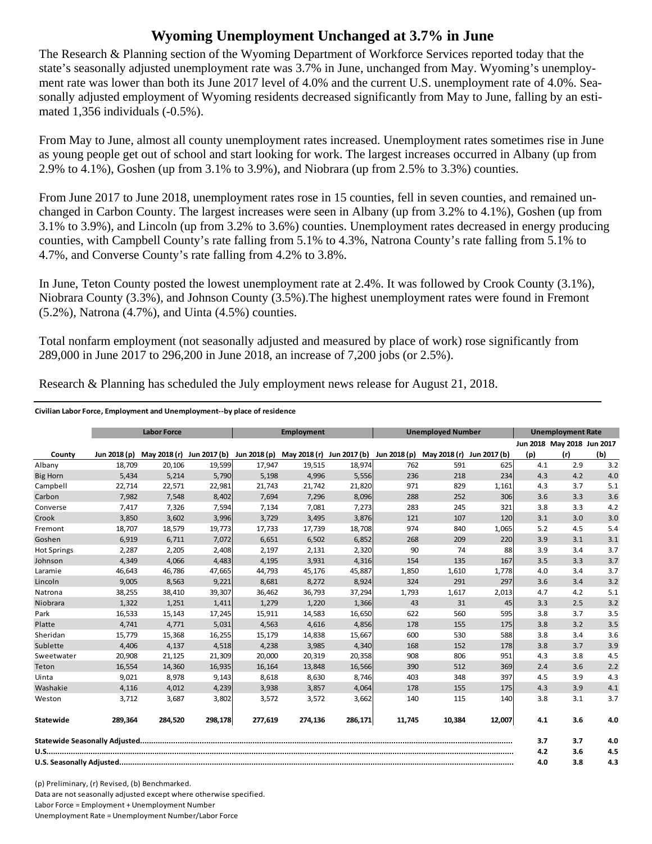## **Wyoming Unemployment Unchanged at 3.7% in June**

The Research & Planning section of the Wyoming Department of Workforce Services reported today that the state's seasonally adjusted unemployment rate was 3.7% in June, unchanged from May. Wyoming's unemployment rate was lower than both its June 2017 level of 4.0% and the current U.S. unemployment rate of 4.0%. Seasonally adjusted employment of Wyoming residents decreased significantly from May to June, falling by an estimated 1,356 individuals (-0.5%).

From May to June, almost all county unemployment rates increased. Unemployment rates sometimes rise in June as young people get out of school and start looking for work. The largest increases occurred in Albany (up from 2.9% to 4.1%), Goshen (up from 3.1% to 3.9%), and Niobrara (up from 2.5% to 3.3%) counties.

From June 2017 to June 2018, unemployment rates rose in 15 counties, fell in seven counties, and remained unchanged in Carbon County. The largest increases were seen in Albany (up from 3.2% to 4.1%), Goshen (up from 3.1% to 3.9%), and Lincoln (up from 3.2% to 3.6%) counties. Unemployment rates decreased in energy producing counties, with Campbell County's rate falling from 5.1% to 4.3%, Natrona County's rate falling from 5.1% to 4.7%, and Converse County's rate falling from 4.2% to 3.8%.

In June, Teton County posted the lowest unemployment rate at 2.4%. It was followed by Crook County (3.1%), Niobrara County (3.3%), and Johnson County (3.5%).The highest unemployment rates were found in Fremont (5.2%), Natrona (4.7%), and Uinta (4.5%) counties.

Total nonfarm employment (not seasonally adjusted and measured by place of work) rose significantly from 289,000 in June 2017 to 296,200 in June 2018, an increase of 7,200 jobs (or 2.5%).

|                    | <b>Labor Force</b> |                           | Employment |              |                           | <b>Unemployed Number</b> |              |              | <b>Unemployment Rate</b> |     |                            |     |
|--------------------|--------------------|---------------------------|------------|--------------|---------------------------|--------------------------|--------------|--------------|--------------------------|-----|----------------------------|-----|
|                    |                    |                           |            |              |                           |                          |              |              |                          |     | Jun 2018 May 2018 Jun 2017 |     |
| County             | Jun 2018 (p)       | May 2018 (r) Jun 2017 (b) |            | Jun 2018 (p) | May 2018 (r) Jun 2017 (b) |                          | Jun 2018 (p) | May 2018 (r) | Jun 2017 (b)             | (p) | (r)                        | (b) |
| Albany             | 18,709             | 20,106                    | 19,599     | 17,947       | 19,515                    | 18,974                   | 762          | 591          | 625                      | 4.1 | 2.9                        | 3.2 |
| <b>Big Horn</b>    | 5,434              | 5,214                     | 5,790      | 5,198        | 4,996                     | 5,556                    | 236          | 218          | 234                      | 4.3 | 4.2                        | 4.0 |
| Campbell           | 22,714             | 22,571                    | 22,981     | 21,743       | 21,742                    | 21,820                   | 971          | 829          | 1,161                    | 4.3 | 3.7                        | 5.1 |
| Carbon             | 7,982              | 7,548                     | 8,402      | 7.694        | 7,296                     | 8,096                    | 288          | 252          | 306                      | 3.6 | 3.3                        | 3.6 |
| Converse           | 7,417              | 7,326                     | 7,594      | 7,134        | 7,081                     | 7,273                    | 283          | 245          | 321                      | 3.8 | 3.3                        | 4.2 |
| Crook              | 3,850              | 3,602                     | 3,996      | 3,729        | 3,495                     | 3,876                    | 121          | 107          | 120                      | 3.1 | 3.0                        | 3.0 |
| Fremont            | 18,707             | 18,579                    | 19,773     | 17,733       | 17,739                    | 18,708                   | 974          | 840          | 1,065                    | 5.2 | 4.5                        | 5.4 |
| Goshen             | 6,919              | 6,711                     | 7,072      | 6,651        | 6,502                     | 6,852                    | 268          | 209          | 220                      | 3.9 | 3.1                        | 3.1 |
| <b>Hot Springs</b> | 2,287              | 2,205                     | 2,408      | 2,197        | 2,131                     | 2,320                    | 90           | 74           | 88                       | 3.9 | 3.4                        | 3.7 |
| Johnson            | 4,349              | 4,066                     | 4,483      | 4,195        | 3,931                     | 4,316                    | 154          | 135          | 167                      | 3.5 | 3.3                        | 3.7 |
| Laramie            | 46,643             | 46,786                    | 47,665     | 44,793       | 45,176                    | 45,887                   | 1,850        | 1,610        | 1,778                    | 4.0 | 3.4                        | 3.7 |
| Lincoln            | 9,005              | 8,563                     | 9,221      | 8,681        | 8,272                     | 8,924                    | 324          | 291          | 297                      | 3.6 | 3.4                        | 3.2 |
| Natrona            | 38,255             | 38,410                    | 39,307     | 36,462       | 36,793                    | 37,294                   | 1,793        | 1,617        | 2,013                    | 4.7 | 4.2                        | 5.1 |
| Niobrara           | 1,322              | 1,251                     | 1,411      | 1,279        | 1,220                     | 1,366                    | 43           | 31           | 45                       | 3.3 | 2.5                        | 3.2 |
| Park               | 16,533             | 15,143                    | 17,245     | 15,911       | 14,583                    | 16,650                   | 622          | 560          | 595                      | 3.8 | 3.7                        | 3.5 |
| Platte             | 4,741              | 4,771                     | 5,031      | 4,563        | 4,616                     | 4,856                    | 178          | 155          | 175                      | 3.8 | 3.2                        | 3.5 |
| Sheridan           | 15,779             | 15,368                    | 16,255     | 15,179       | 14,838                    | 15,667                   | 600          | 530          | 588                      | 3.8 | 3.4                        | 3.6 |
| Sublette           | 4,406              | 4,137                     | 4,518      | 4,238        | 3,985                     | 4,340                    | 168          | 152          | 178                      | 3.8 | 3.7                        | 3.9 |
| Sweetwater         | 20,908             | 21,125                    | 21,309     | 20,000       | 20,319                    | 20,358                   | 908          | 806          | 951                      | 4.3 | 3.8                        | 4.5 |
| Teton              | 16,554             | 14,360                    | 16,935     | 16,164       | 13,848                    | 16,566                   | 390          | 512          | 369                      | 2.4 | 3.6                        | 2.2 |
| Uinta              | 9,021              | 8,978                     | 9,143      | 8,618        | 8,630                     | 8,746                    | 403          | 348          | 397                      | 4.5 | 3.9                        | 4.3 |
| Washakie           | 4,116              | 4,012                     | 4,239      | 3,938        | 3,857                     | 4,064                    | 178          | 155          | 175                      | 4.3 | 3.9                        | 4.1 |
| Weston             | 3,712              | 3,687                     | 3,802      | 3,572        | 3,572                     | 3,662                    | 140          | 115          | 140                      | 3.8 | 3.1                        | 3.7 |
| Statewide          | 289,364            | 284,520                   | 298,178    | 277,619      | 274,136                   | 286,171                  | 11,745       | 10,384       | 12,007                   | 4.1 | 3.6                        | 4.0 |
|                    |                    |                           |            |              |                           |                          |              | 3.7          | 3.7                      | 4.0 |                            |     |
|                    |                    |                           |            |              |                           |                          | 4.2          | 3.6          | 4.5                      |     |                            |     |
|                    |                    |                           |            |              |                           |                          | 4.0          | 3.8          | 4.3                      |     |                            |     |

Research & Planning has scheduled the July employment news release for August 21, 2018.

## **Civilian Labor Force, Employment and Unemployment‐‐by place of residence**

(p) Preliminary, (r) Revised, (b) Benchmarked. Data are not seasonally adjusted except where otherwise specified. Labor Force = Employment + Unemployment Number Unemployment Rate = Unemployment Number/Labor Force